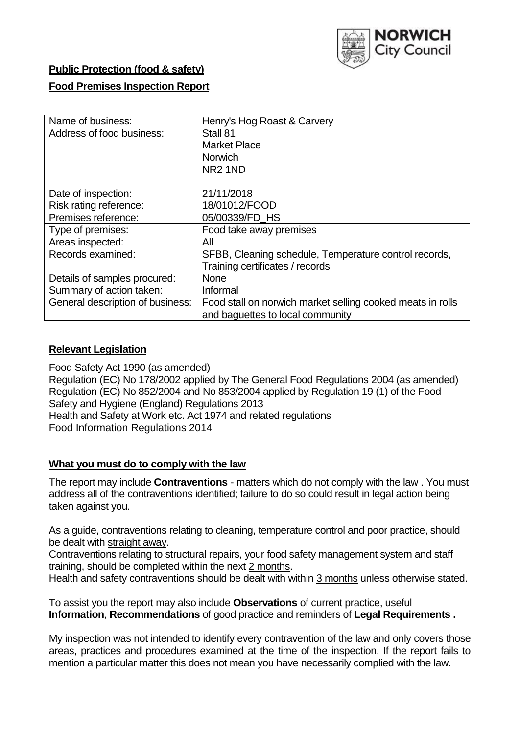

# **Public Protection (food & safety)**

# **Food Premises Inspection Report**

| Name of business:<br>Address of food business: | Henry's Hog Roast & Carvery<br>Stall 81<br><b>Market Place</b><br><b>Norwich</b><br>NR <sub>2</sub> 1ND |
|------------------------------------------------|---------------------------------------------------------------------------------------------------------|
| Date of inspection:                            | 21/11/2018                                                                                              |
| Risk rating reference:                         | 18/01012/FOOD                                                                                           |
| Premises reference:                            | 05/00339/FD HS                                                                                          |
| Type of premises:                              | Food take away premises                                                                                 |
| Areas inspected:                               | All                                                                                                     |
| Records examined:                              | SFBB, Cleaning schedule, Temperature control records,                                                   |
|                                                | Training certificates / records                                                                         |
| Details of samples procured:                   | <b>None</b>                                                                                             |
| Summary of action taken:                       | Informal                                                                                                |
| General description of business:               | Food stall on norwich market selling cooked meats in rolls<br>and baguettes to local community          |

## **Relevant Legislation**

Food Safety Act 1990 (as amended) Regulation (EC) No 178/2002 applied by The General Food Regulations 2004 (as amended) Regulation (EC) No 852/2004 and No 853/2004 applied by Regulation 19 (1) of the Food Safety and Hygiene (England) Regulations 2013 Health and Safety at Work etc. Act 1974 and related regulations Food Information Regulations 2014

## **What you must do to comply with the law**

The report may include **Contraventions** - matters which do not comply with the law . You must address all of the contraventions identified; failure to do so could result in legal action being taken against you.

As a guide, contraventions relating to cleaning, temperature control and poor practice, should be dealt with straight away.

Contraventions relating to structural repairs, your food safety management system and staff training, should be completed within the next 2 months.

Health and safety contraventions should be dealt with within 3 months unless otherwise stated.

To assist you the report may also include **Observations** of current practice, useful **Information**, **Recommendations** of good practice and reminders of **Legal Requirements .**

My inspection was not intended to identify every contravention of the law and only covers those areas, practices and procedures examined at the time of the inspection. If the report fails to mention a particular matter this does not mean you have necessarily complied with the law.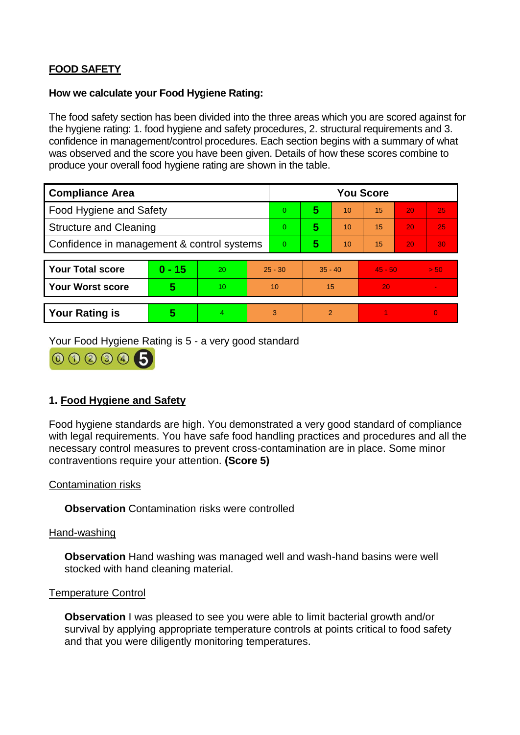# **FOOD SAFETY**

#### **How we calculate your Food Hygiene Rating:**

The food safety section has been divided into the three areas which you are scored against for the hygiene rating: 1. food hygiene and safety procedures, 2. structural requirements and 3. confidence in management/control procedures. Each section begins with a summary of what was observed and the score you have been given. Details of how these scores combine to produce your overall food hygiene rating are shown in the table.

| <b>Compliance Area</b>                     |          |                  |           | <b>You Score</b> |                |    |           |    |                |  |  |
|--------------------------------------------|----------|------------------|-----------|------------------|----------------|----|-----------|----|----------------|--|--|
| Food Hygiene and Safety                    |          |                  |           | 0                | 5              | 10 | 15        | 20 | 25             |  |  |
| <b>Structure and Cleaning</b>              |          |                  | $\Omega$  | 5                | 10             | 15 | 20        | 25 |                |  |  |
| Confidence in management & control systems |          |                  | 0         | 5                | 10             | 15 | 20        | 30 |                |  |  |
|                                            |          |                  |           |                  |                |    |           |    |                |  |  |
| <b>Your Total score</b>                    | $0 - 15$ | 20               | $25 - 30$ |                  | $35 - 40$      |    | $45 - 50$ |    | > 50           |  |  |
| <b>Your Worst score</b>                    | 5        | 10 <sup>10</sup> | 10        |                  | 15             |    | 20        |    | $\blacksquare$ |  |  |
|                                            |          |                  |           |                  |                |    |           |    |                |  |  |
| <b>Your Rating is</b>                      | 5        | 4                | 3         |                  | $\overline{2}$ |    |           |    | $\overline{0}$ |  |  |

Your Food Hygiene Rating is 5 - a very good standard

000005

# **1. Food Hygiene and Safety**

Food hygiene standards are high. You demonstrated a very good standard of compliance with legal requirements. You have safe food handling practices and procedures and all the necessary control measures to prevent cross-contamination are in place. Some minor contraventions require your attention. **(Score 5)**

#### Contamination risks

**Observation** Contamination risks were controlled

#### Hand-washing

**Observation** Hand washing was managed well and wash-hand basins were well stocked with hand cleaning material.

#### Temperature Control

**Observation** I was pleased to see you were able to limit bacterial growth and/or survival by applying appropriate temperature controls at points critical to food safety and that you were diligently monitoring temperatures.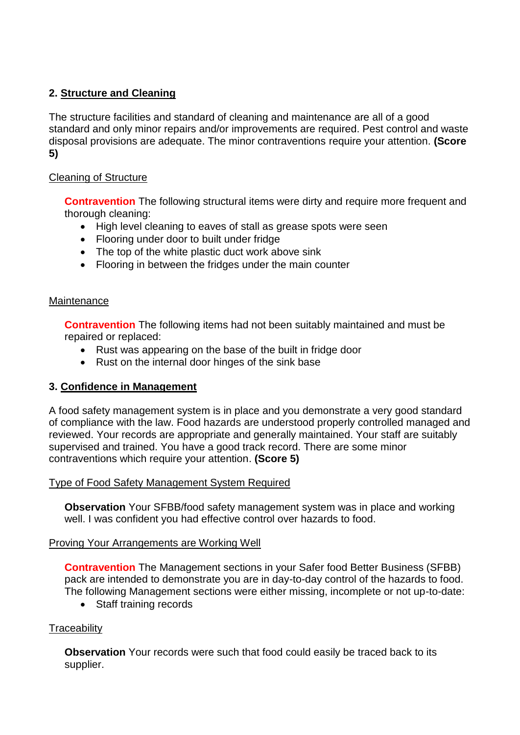# **2. Structure and Cleaning**

The structure facilities and standard of cleaning and maintenance are all of a good standard and only minor repairs and/or improvements are required. Pest control and waste disposal provisions are adequate. The minor contraventions require your attention. **(Score 5)**

# Cleaning of Structure

**Contravention** The following structural items were dirty and require more frequent and thorough cleaning:

- High level cleaning to eaves of stall as grease spots were seen
- Flooring under door to built under fridge
- The top of the white plastic duct work above sink
- Flooring in between the fridges under the main counter

#### **Maintenance**

**Contravention** The following items had not been suitably maintained and must be repaired or replaced:

- Rust was appearing on the base of the built in fridge door
- Rust on the internal door hinges of the sink base

# **3. Confidence in Management**

A food safety management system is in place and you demonstrate a very good standard of compliance with the law. Food hazards are understood properly controlled managed and reviewed. Your records are appropriate and generally maintained. Your staff are suitably supervised and trained. You have a good track record. There are some minor contraventions which require your attention. **(Score 5)**

## Type of Food Safety Management System Required

**Observation** Your SFBB/food safety management system was in place and working well. I was confident you had effective control over hazards to food.

## Proving Your Arrangements are Working Well

**Contravention** The Management sections in your Safer food Better Business (SFBB) pack are intended to demonstrate you are in day-to-day control of the hazards to food. The following Management sections were either missing, incomplete or not up-to-date:

• Staff training records

## **Traceability**

**Observation** Your records were such that food could easily be traced back to its supplier.